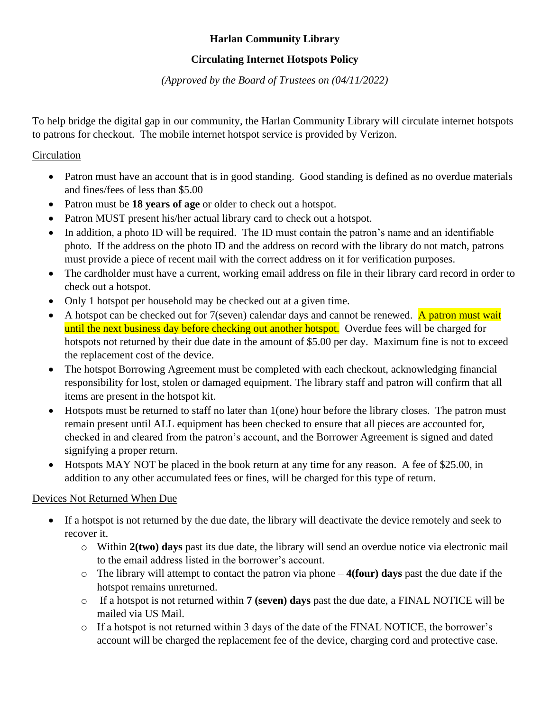# **Harlan Community Library**

# **Circulating Internet Hotspots Policy**

*(Approved by the Board of Trustees on (04/11/2022)*

To help bridge the digital gap in our community, the Harlan Community Library will circulate internet hotspots to patrons for checkout. The mobile internet hotspot service is provided by Verizon.

### **Circulation**

- Patron must have an account that is in good standing. Good standing is defined as no overdue materials and fines/fees of less than \$5.00
- Patron must be **18 years of age** or older to check out a hotspot.
- Patron MUST present his/her actual library card to check out a hotspot.
- In addition, a photo ID will be required. The ID must contain the patron's name and an identifiable photo. If the address on the photo ID and the address on record with the library do not match, patrons must provide a piece of recent mail with the correct address on it for verification purposes.
- The cardholder must have a current, working email address on file in their library card record in order to check out a hotspot.
- Only 1 hotspot per household may be checked out at a given time.
- A hotspot can be checked out for  $7$ (seven) calendar days and cannot be renewed. A patron must wait until the next business day before checking out another hotspot. Overdue fees will be charged for hotspots not returned by their due date in the amount of \$5.00 per day. Maximum fine is not to exceed the replacement cost of the device.
- The hotspot Borrowing Agreement must be completed with each checkout, acknowledging financial responsibility for lost, stolen or damaged equipment. The library staff and patron will confirm that all items are present in the hotspot kit.
- Hotspots must be returned to staff no later than 1(one) hour before the library closes. The patron must remain present until ALL equipment has been checked to ensure that all pieces are accounted for, checked in and cleared from the patron's account, and the Borrower Agreement is signed and dated signifying a proper return.
- Hotspots MAY NOT be placed in the book return at any time for any reason. A fee of \$25.00, in addition to any other accumulated fees or fines, will be charged for this type of return.

# Devices Not Returned When Due

- If a hotspot is not returned by the due date, the library will deactivate the device remotely and seek to recover it.
	- o Within **2(two) days** past its due date, the library will send an overdue notice via electronic mail to the email address listed in the borrower's account.
	- o The library will attempt to contact the patron via phone **4(four) days** past the due date if the hotspot remains unreturned.
	- o If a hotspot is not returned within **7 (seven) days** past the due date, a FINAL NOTICE will be mailed via US Mail.
	- o If a hotspot is not returned within 3 days of the date of the FINAL NOTICE, the borrower's account will be charged the replacement fee of the device, charging cord and protective case.